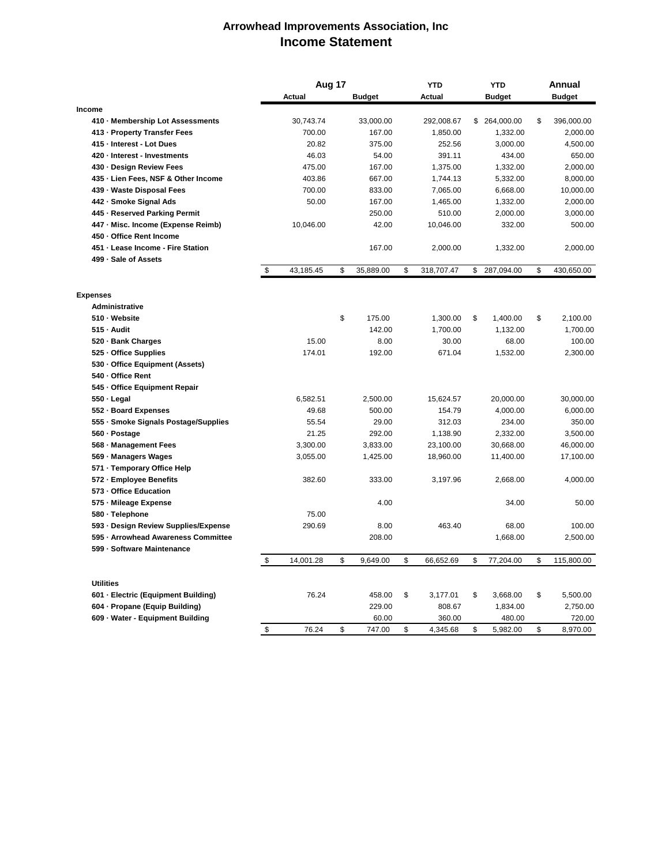## **Arrowhead Improvements Association, Inc Income Statement**

|                                      | Aug 17 |               |    | <b>YTD</b>    |    | <b>YTD</b> |    | Annual        |    |               |
|--------------------------------------|--------|---------------|----|---------------|----|------------|----|---------------|----|---------------|
|                                      |        | <b>Actual</b> |    | <b>Budget</b> |    | Actual     |    | <b>Budget</b> |    | <b>Budget</b> |
| Income                               |        |               |    |               |    |            |    |               |    |               |
| 410 - Membership Lot Assessments     |        | 30,743.74     |    | 33,000.00     |    | 292,008.67 |    | \$ 264,000.00 | \$ | 396,000.00    |
| 413 - Property Transfer Fees         |        | 700.00        |    | 167.00        |    | 1,850.00   |    | 1,332.00      |    | 2,000.00      |
| 415 - Interest - Lot Dues            |        | 20.82         |    | 375.00        |    | 252.56     |    | 3,000.00      |    | 4,500.00      |
| 420 - Interest - Investments         |        | 46.03         |    | 54.00         |    | 391.11     |    | 434.00        |    | 650.00        |
| 430 Design Review Fees               |        | 475.00        |    | 167.00        |    | 1,375.00   |    | 1,332.00      |    | 2,000.00      |
| 435 - Lien Fees, NSF & Other Income  |        | 403.86        |    | 667.00        |    | 1,744.13   |    | 5,332.00      |    | 8,000.00      |
| 439 - Waste Disposal Fees            |        | 700.00        |    | 833.00        |    | 7,065.00   |    | 6,668.00      |    | 10,000.00     |
| 442 - Smoke Signal Ads               |        | 50.00         |    | 167.00        |    | 1,465.00   |    | 1,332.00      |    | 2,000.00      |
| 445 - Reserved Parking Permit        |        |               |    | 250.00        |    | 510.00     |    | 2,000.00      |    | 3,000.00      |
| 447 - Misc. Income (Expense Reimb)   |        | 10,046.00     |    | 42.00         |    | 10,046.00  |    | 332.00        |    | 500.00        |
| 450 - Office Rent Income             |        |               |    |               |    |            |    |               |    |               |
| 451 - Lease Income - Fire Station    |        |               |    | 167.00        |    | 2,000.00   |    | 1,332.00      |    | 2,000.00      |
| 499 - Sale of Assets                 |        |               |    |               |    |            |    |               |    |               |
|                                      | \$     | 43,185.45     | \$ | 35,889.00     | \$ | 318,707.47 | \$ | 287,094.00    | \$ | 430,650.00    |
| <b>Expenses</b>                      |        |               |    |               |    |            |    |               |    |               |
| <b>Administrative</b>                |        |               |    |               |    |            |    |               |    |               |
| 510 Website                          |        |               | \$ | 175.00        |    | 1,300.00   | \$ | 1,400.00      | \$ | 2,100.00      |
| $515 -$ Audit                        |        |               |    | 142.00        |    | 1,700.00   |    | 1,132.00      |    | 1,700.00      |
| 520 - Bank Charges                   |        | 15.00         |    | 8.00          |    | 30.00      |    | 68.00         |    | 100.00        |
| 525 - Office Supplies                |        | 174.01        |    | 192.00        |    | 671.04     |    | 1,532.00      |    | 2,300.00      |
| 530 - Office Equipment (Assets)      |        |               |    |               |    |            |    |               |    |               |
| 540 - Office Rent                    |        |               |    |               |    |            |    |               |    |               |
| 545 - Office Equipment Repair        |        |               |    |               |    |            |    |               |    |               |
| $550 - Legal$                        |        | 6,582.51      |    | 2,500.00      |    | 15,624.57  |    | 20,000.00     |    | 30,000.00     |
| 552 - Board Expenses                 |        | 49.68         |    | 500.00        |    | 154.79     |    | 4,000.00      |    | 6,000.00      |
| 555 - Smoke Signals Postage/Supplies |        | 55.54         |    | 29.00         |    | 312.03     |    | 234.00        |    | 350.00        |
| 560 - Postage                        |        | 21.25         |    | 292.00        |    | 1,138.90   |    | 2,332.00      |    | 3,500.00      |
|                                      |        |               |    |               |    |            |    |               |    |               |
| 568 - Management Fees                |        | 3,300.00      |    | 3,833.00      |    | 23,100.00  |    | 30,668.00     |    | 46,000.00     |
| 569 - Managers Wages                 |        | 3,055.00      |    | 1,425.00      |    | 18,960.00  |    | 11,400.00     |    | 17,100.00     |
| 571 - Temporary Office Help          |        |               |    |               |    |            |    |               |    |               |
| 572 - Employee Benefits              |        | 382.60        |    | 333.00        |    | 3,197.96   |    | 2,668.00      |    | 4,000.00      |
| 573 - Office Education               |        |               |    |               |    |            |    |               |    |               |
| 575 - Mileage Expense                |        |               |    | 4.00          |    |            |    | 34.00         |    | 50.00         |
| 580 - Telephone                      |        | 75.00         |    |               |    |            |    |               |    |               |
| 593 - Design Review Supplies/Expense |        | 290.69        |    | 8.00          |    | 463.40     |    | 68.00         |    | 100.00        |
| 595 - Arrowhead Awareness Committee  |        |               |    | 208.00        |    |            |    | 1,668.00      |    | 2,500.00      |
| 599 - Software Maintenance           | \$     | 14,001.28     | \$ | 9,649.00      | \$ | 66,652.69  | \$ | 77,204.00     | \$ | 115,800.00    |
|                                      |        |               |    |               |    |            |    |               |    |               |
| <b>Utilities</b>                     |        |               |    |               |    |            |    |               |    |               |
| 601 - Electric (Equipment Building)  |        | 76.24         |    | 458.00        | \$ | 3,177.01   | \$ | 3,668.00      | \$ | 5,500.00      |
| 604 - Propane (Equip Building)       |        |               |    | 229.00        |    | 808.67     |    | 1,834.00      |    | 2,750.00      |
| 609 - Water - Equipment Building     |        |               |    | 60.00         |    | 360.00     |    | 480.00        |    | 720.00        |
|                                      | \$     | 76.24         | \$ | 747.00        | \$ | 4,345.68   | \$ | 5,982.00      | \$ | 8,970.00      |